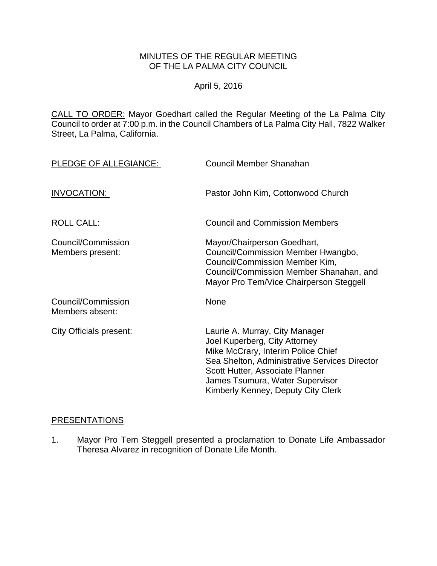# MINUTES OF THE REGULAR MEETING OF THE LA PALMA CITY COUNCIL

## April 5, 2016

CALL TO ORDER: [Mayor Goedhart called the Regular Meeting of the La Palma City](http://lapalma.granicus.com/MediaPlayer.php?view_id=&clip_id=984&meta_id=131172)  [Council to order at 7:00 p.m. in the Council Chambers of La Palma City Hall, 7822 Walker](http://lapalma.granicus.com/MediaPlayer.php?view_id=&clip_id=984&meta_id=131172)  [Street, La Palma, California.](http://lapalma.granicus.com/MediaPlayer.php?view_id=&clip_id=984&meta_id=131172)

| PLEDGE OF ALLEGIANCE:                  | Council Member Shanahan                                                                                                                                                                                                                                            |
|----------------------------------------|--------------------------------------------------------------------------------------------------------------------------------------------------------------------------------------------------------------------------------------------------------------------|
| INVOCATION:                            | Pastor John Kim, Cottonwood Church                                                                                                                                                                                                                                 |
| <b>ROLL CALL:</b>                      | <b>Council and Commission Members</b>                                                                                                                                                                                                                              |
| Council/Commission<br>Members present: | Mayor/Chairperson Goedhart,<br>Council/Commission Member Hwangbo,<br>Council/Commission Member Kim,<br>Council/Commission Member Shanahan, and<br>Mayor Pro Tem/Vice Chairperson Steggell                                                                          |
| Council/Commission<br>Members absent:  | <b>None</b>                                                                                                                                                                                                                                                        |
| City Officials present:                | Laurie A. Murray, City Manager<br>Joel Kuperberg, City Attorney<br>Mike McCrary, Interim Police Chief<br>Sea Shelton, Administrative Services Director<br>Scott Hutter, Associate Planner<br>James Tsumura, Water Supervisor<br>Kimberly Kenney, Deputy City Clerk |

### [PRESENTATIONS](http://lapalma.granicus.com/MediaPlayer.php?view_id=&clip_id=984&meta_id=131176)

1. [Mayor Pro Tem Steggell presented a proclamation to Donate Life Ambassador](http://lapalma.granicus.com/MediaPlayer.php?view_id=&clip_id=984&meta_id=131177)  [Theresa Alvarez in recognition of Donate Life Month.](http://lapalma.granicus.com/MediaPlayer.php?view_id=&clip_id=984&meta_id=131177)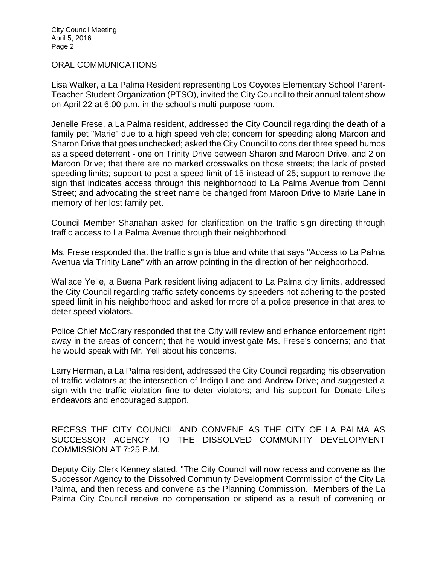City Council Meeting April 5, 2016 Page 2

#### [ORAL COMMUNICATIONS](http://lapalma.granicus.com/MediaPlayer.php?view_id=&clip_id=984&meta_id=131178)

Lisa Walker, a La Palma Resident representing Los Coyotes Elementary School Parent-Teacher-Student Organization (PTSO), invited the City Council to their annual talent show on April 22 at 6:00 p.m. in the school's multi-purpose room.

Jenelle Frese, a La Palma resident, addressed the City Council regarding the death of a family pet "Marie" due to a high speed vehicle; concern for speeding along Maroon and Sharon Drive that goes unchecked; asked the City Council to consider three speed bumps as a speed deterrent - one on Trinity Drive between Sharon and Maroon Drive, and 2 on Maroon Drive; that there are no marked crosswalks on those streets; the lack of posted speeding limits; support to post a speed limit of 15 instead of 25; support to remove the sign that indicates access through this neighborhood to La Palma Avenue from Denni Street; and advocating the street name be changed from Maroon Drive to Marie Lane in memory of her lost family pet.

Council Member Shanahan asked for clarification on the traffic sign directing through traffic access to La Palma Avenue through their neighborhood.

Ms. Frese responded that the traffic sign is blue and white that says "Access to La Palma Avenua via Trinity Lane" with an arrow pointing in the direction of her neighborhood.

Wallace Yelle, a Buena Park resident living adjacent to La Palma city limits, addressed the City Council regarding traffic safety concerns by speeders not adhering to the posted speed limit in his neighborhood and asked for more of a police presence in that area to deter speed violators.

Police Chief McCrary responded that the City will review and enhance enforcement right away in the areas of concern; that he would investigate Ms. Frese's concerns; and that he would speak with Mr. Yell about his concerns.

Larry Herman, a La Palma resident, addressed the City Council regarding his observation of traffic violators at the intersection of Indigo Lane and Andrew Drive; and suggested a sign with the traffic violation fine to deter violators; and his support for Donate Life's endeavors and encouraged support.

## [RECESS THE CITY COUNCIL AND CONVENE AS THE CITY OF LA PALMA AS](http://lapalma.granicus.com/MediaPlayer.php?view_id=&clip_id=984&meta_id=131186)  [SUCCESSOR AGENCY TO THE DISSOLVED COMMUNITY DEVELOPMENT](http://lapalma.granicus.com/MediaPlayer.php?view_id=&clip_id=984&meta_id=131186)  [COMMISSION AT 7:25 P.M.](http://lapalma.granicus.com/MediaPlayer.php?view_id=&clip_id=984&meta_id=131186)

Deputy City Clerk Kenney stated, "The City Council will now recess and convene as the Successor Agency to the Dissolved Community Development Commission of the City La Palma, and then recess and convene as the Planning Commission. Members of the La Palma City Council receive no compensation or stipend as a result of convening or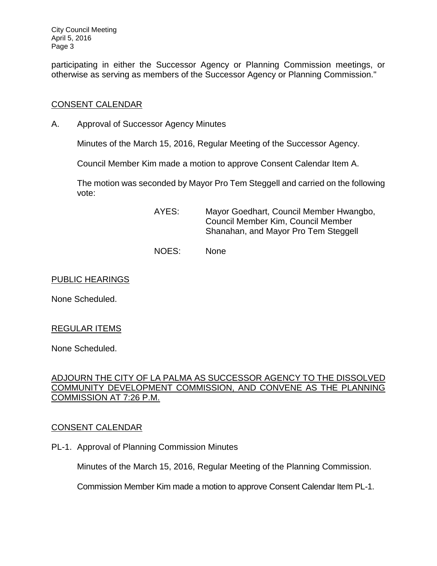City Council Meeting April 5, 2016 Page 3

participating in either the Successor Agency or Planning Commission meetings, or otherwise as serving as members of the Successor Agency or Planning Commission."

## [CONSENT CALENDAR](http://lapalma.granicus.com/MediaPlayer.php?view_id=&clip_id=984&meta_id=131188)

A. [Approval of Successor Agency Minutes](http://lapalma.granicus.com/MediaPlayer.php?view_id=&clip_id=984&meta_id=131189)

Minutes of the March 15, 2016, Regular Meeting of the Successor Agency.

Council Member Kim made a motion to approve Consent Calendar Item A.

The motion was seconded by Mayor Pro Tem Steggell and carried on the following vote:

- AYES: Mayor Goedhart, Council Member Hwangbo, Council Member Kim, Council Member Shanahan, and Mayor Pro Tem Steggell
- NOES: None

### PUBLIC HEARINGS

None Scheduled.

## REGULAR ITEMS

None Scheduled.

## [ADJOURN THE CITY OF LA PALMA AS SUCCESSOR AGENCY TO THE DISSOLVED](http://lapalma.granicus.com/MediaPlayer.php?view_id=&clip_id=984&meta_id=131191)  [COMMUNITY DEVELOPMENT COMMISSION, AND CONVENE AS THE PLANNING](http://lapalma.granicus.com/MediaPlayer.php?view_id=&clip_id=984&meta_id=131191)  [COMMISSION AT 7:26 P.M.](http://lapalma.granicus.com/MediaPlayer.php?view_id=&clip_id=984&meta_id=131191)

## [CONSENT CALENDAR](http://lapalma.granicus.com/MediaPlayer.php?view_id=&clip_id=984&meta_id=131192)

PL-1. Approval of Planning Commission Minutes

Minutes of the March 15, 2016, Regular Meeting of the Planning Commission.

Commission Member Kim made a motion to approve Consent Calendar Item PL-1.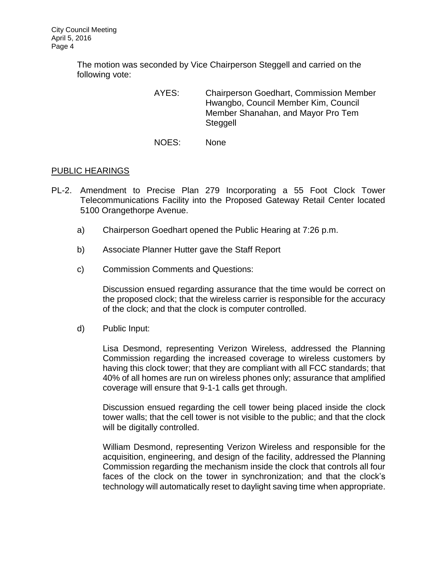The motion was seconded by Vice Chairperson Steggell and carried on the following vote:

- AYES: Chairperson Goedhart, Commission Member Hwangbo, Council Member Kim, Council Member Shanahan, and Mayor Pro Tem Steggell
- NOES: None

## [PUBLIC HEARINGS](http://lapalma.granicus.com/MediaPlayer.php?view_id=&clip_id=984&meta_id=131195)

- PL-2. [Amendment to Precise Plan 279 Incorporating](http://lapalma.granicus.com/MediaPlayer.php?view_id=&clip_id=984&meta_id=131196) a 55 Foot Clock Tower [Telecommunications Facility into the Proposed Gateway Retail Center located](http://lapalma.granicus.com/MediaPlayer.php?view_id=&clip_id=984&meta_id=131196)  [5100 Orangethorpe Avenue.](http://lapalma.granicus.com/MediaPlayer.php?view_id=&clip_id=984&meta_id=131196)
	- a) [Chairperson Goedhart opened the Public Hearing at 7:26 p.m.](http://lapalma.granicus.com/MediaPlayer.php?view_id=&clip_id=984&meta_id=131197)
	- b) [Associate Planner Hutter gave the Staff Report](http://lapalma.granicus.com/MediaPlayer.php?view_id=&clip_id=984&meta_id=131198)
	- c) [Commission Comments and Questions:](http://lapalma.granicus.com/MediaPlayer.php?view_id=&clip_id=984&meta_id=131199)

Discussion ensued regarding assurance that the time would be correct on the proposed clock; that the wireless carrier is responsible for the accuracy of the clock; and that the clock is computer controlled.

d) [Public Input:](http://lapalma.granicus.com/MediaPlayer.php?view_id=&clip_id=984&meta_id=131200)

Lisa Desmond, representing Verizon Wireless, addressed the Planning Commission regarding the increased coverage to wireless customers by having this clock tower; that they are compliant with all FCC standards; that 40% of all homes are run on wireless phones only; assurance that amplified coverage will ensure that 9-1-1 calls get through.

Discussion ensued regarding the cell tower being placed inside the clock tower walls; that the cell tower is not visible to the public; and that the clock will be digitally controlled.

William Desmond, representing Verizon Wireless and responsible for the acquisition, engineering, and design of the facility, addressed the Planning Commission regarding the mechanism inside the clock that controls all four faces of the clock on the tower in synchronization; and that the clock's technology will automatically reset to daylight saving time when appropriate.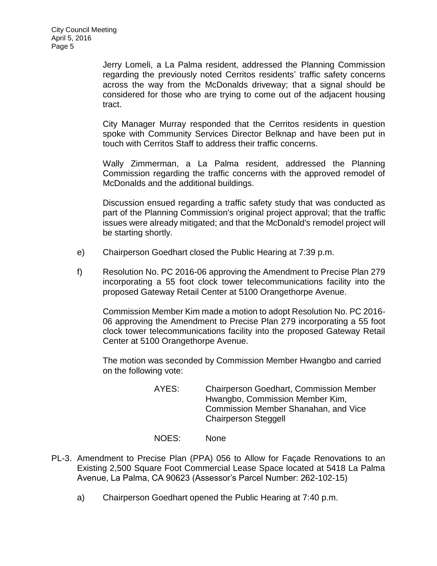Jerry Lomeli, a La Palma resident, addressed the Planning Commission regarding the previously noted Cerritos residents' traffic safety concerns across the way from the McDonalds driveway; that a signal should be considered for those who are trying to come out of the adjacent housing tract.

City Manager Murray responded that the Cerritos residents in question spoke with Community Services Director Belknap and have been put in touch with Cerritos Staff to address their traffic concerns.

Wally Zimmerman, a La Palma resident, addressed the Planning Commission regarding the traffic concerns with the approved remodel of McDonalds and the additional buildings.

Discussion ensued regarding a traffic safety study that was conducted as part of the Planning Commission's original project approval; that the traffic issues were already mitigated; and that the McDonald's remodel project will be starting shortly.

- e) [Chairperson Goedhart closed the Public Hearing at 7:39 p.m.](http://lapalma.granicus.com/MediaPlayer.php?view_id=&clip_id=984&meta_id=131201)
- f) [Resolution No. PC 2016-06 approving the Amendment to Precise Plan 279](http://lapalma.granicus.com/MediaPlayer.php?view_id=&clip_id=984&meta_id=131202)  [incorporating a 55 foot clock tower telecommunications facility into the](http://lapalma.granicus.com/MediaPlayer.php?view_id=&clip_id=984&meta_id=131202)  [proposed Gateway Retail Center at 5100 Orangethorpe Avenue.](http://lapalma.granicus.com/MediaPlayer.php?view_id=&clip_id=984&meta_id=131202)

Commission Member Kim made a motion to adopt Resolution No. PC 2016- 06 approving the Amendment to Precise Plan 279 incorporating a 55 foot clock tower telecommunications facility into the proposed Gateway Retail Center at 5100 Orangethorpe Avenue.

The motion was seconded by Commission Member Hwangbo and carried on the following vote:

- AYES: Chairperson Goedhart, Commission Member Hwangbo, Commission Member Kim, Commission Member Shanahan, and Vice Chairperson Steggell
- NOES: None
- PL-3. [Amendment to Precise Plan \(PPA\) 056 to Allow for Façade Renovations to an](http://lapalma.granicus.com/MediaPlayer.php?view_id=&clip_id=984&meta_id=131203)  [Existing 2,500 Square Foot Commercial Lease Space located at 5418 La Palma](http://lapalma.granicus.com/MediaPlayer.php?view_id=&clip_id=984&meta_id=131203)  [Avenue, La Palma, CA 90623 \(Assessor's Parcel Number: 262-102-15\)](http://lapalma.granicus.com/MediaPlayer.php?view_id=&clip_id=984&meta_id=131203)
	- a) [Chairperson Goedhart opened the Public Hearing at 7:40 p.m.](http://lapalma.granicus.com/MediaPlayer.php?view_id=&clip_id=984&meta_id=131204)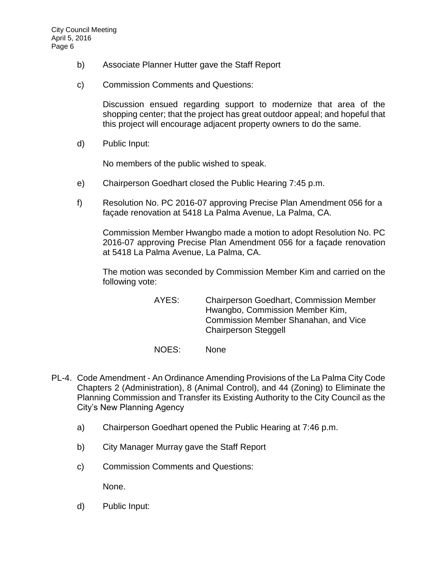- b) [Associate Planner Hutter gave the Staff Report](http://lapalma.granicus.com/MediaPlayer.php?view_id=&clip_id=984&meta_id=131205)
- c) [Commission Comments and Questions:](http://lapalma.granicus.com/MediaPlayer.php?view_id=&clip_id=984&meta_id=131206)

Discussion ensued regarding support to modernize that area of the shopping center; that the project has great outdoor appeal; and hopeful that this project will encourage adjacent property owners to do the same.

d) [Public Input:](http://lapalma.granicus.com/MediaPlayer.php?view_id=&clip_id=984&meta_id=131207)

No members of the public wished to speak.

- e) [Chairperson Goedhart closed the Public Hearing 7:45 p.m.](http://lapalma.granicus.com/MediaPlayer.php?view_id=&clip_id=984&meta_id=131208)
- f) [Resolution No. PC 2016-07 approving Precise Plan Amendment 056 for a](http://lapalma.granicus.com/MediaPlayer.php?view_id=&clip_id=984&meta_id=131209)  [façade renovation at 5418 La Palma Avenue, La Palma, CA.](http://lapalma.granicus.com/MediaPlayer.php?view_id=&clip_id=984&meta_id=131209)

Commission Member Hwangbo made a motion to adopt Resolution No. PC 2016-07 approving Precise Plan Amendment 056 for a façade renovation at 5418 La Palma Avenue, La Palma, CA.

The motion was seconded by Commission Member Kim and carried on the following vote:

> AYES: Chairperson Goedhart, Commission Member Hwangbo, Commission Member Kim, Commission Member Shanahan, and Vice Chairperson Steggell

- NOES: None
- PL-4. Code Amendment [An Ordinance Amending Provisions of the La Palma City Code](http://lapalma.granicus.com/MediaPlayer.php?view_id=&clip_id=984&meta_id=131210)  [Chapters 2 \(Administration\), 8 \(Animal Control\), and 44 \(Zoning\) to Eliminate the](http://lapalma.granicus.com/MediaPlayer.php?view_id=&clip_id=984&meta_id=131210)  [Planning Commission and Transfer its Existing Authority to the City Council as the](http://lapalma.granicus.com/MediaPlayer.php?view_id=&clip_id=984&meta_id=131210)  [City's New Planning Agency](http://lapalma.granicus.com/MediaPlayer.php?view_id=&clip_id=984&meta_id=131210)
	- a) [Chairperson Goedhart opened the Public Hearing at 7:46 p.m.](http://lapalma.granicus.com/MediaPlayer.php?view_id=&clip_id=984&meta_id=131211)
	- b) [City Manager Murray gave the Staff Report](http://lapalma.granicus.com/MediaPlayer.php?view_id=&clip_id=984&meta_id=131212)
	- c) [Commission Comments and Questions:](http://lapalma.granicus.com/MediaPlayer.php?view_id=&clip_id=984&meta_id=131213)

None.

d) [Public Input:](http://lapalma.granicus.com/MediaPlayer.php?view_id=&clip_id=984&meta_id=131214)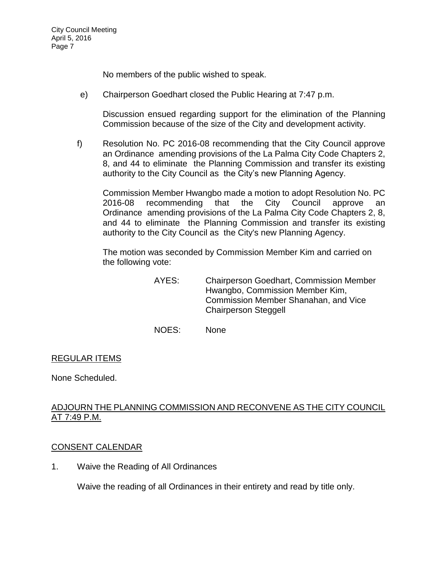No members of the public wished to speak.

e) [Chairperson Goedhart closed the Public Hearing at 7:47 p.m.](http://lapalma.granicus.com/MediaPlayer.php?view_id=&clip_id=984&meta_id=131215)

Discussion ensued regarding support for the elimination of the Planning Commission because of the size of the City and development activity.

f) Resolution No. PC 2016-08 recommending that the City Council approve an Ordinance amending provisions of the La Palma City Code Chapters 2, 8, and 44 to eliminate the Planning Commission and transfer its existing authority to the City Council as the City's new Planning Agency.

Commission Member Hwangbo made a motion to adopt Resolution No. PC 2016-08 recommending that the City Council approve an Ordinance amending provisions of the La Palma City Code Chapters 2, 8, and 44 to eliminate the Planning Commission and transfer its existing authority to the City Council as the City's new Planning Agency.

The motion was seconded by Commission Member Kim and carried on the following vote:

- AYES: Chairperson Goedhart, Commission Member Hwangbo, Commission Member Kim, Commission Member Shanahan, and Vice Chairperson Steggell
- NOES: None

# REGULAR ITEMS

None Scheduled.

# [ADJOURN THE PLANNING COMMISSION AND RECONVENE AS THE CITY COUNCIL](http://lapalma.granicus.com/MediaPlayer.php?view_id=&clip_id=984&meta_id=131227)  [AT 7:49 P.M.](http://lapalma.granicus.com/MediaPlayer.php?view_id=&clip_id=984&meta_id=131227)

## [CONSENT CALENDAR](http://lapalma.granicus.com/MediaPlayer.php?view_id=&clip_id=984&meta_id=131228)

1. Waive the Reading of All Ordinances

Waive the reading of all Ordinances in their entirety and read by title only.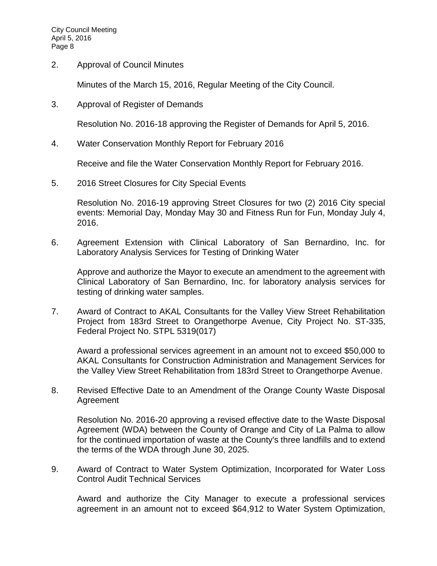2. Approval of Council Minutes

Minutes of the March 15, 2016, Regular Meeting of the City Council.

3. Approval of Register of Demands

Resolution No. 2016-18 approving the Register of Demands for April 5, 2016.

4. Water Conservation Monthly Report for February 2016

Receive and file the Water Conservation Monthly Report for February 2016.

5. 2016 Street Closures for City Special Events

Resolution No. 2016-19 approving Street Closures for two (2) 2016 City special events: Memorial Day, Monday May 30 and Fitness Run for Fun, Monday July 4, 2016.

6. Agreement Extension with Clinical Laboratory of San Bernardino, Inc. for Laboratory Analysis Services for Testing of Drinking Water

Approve and authorize the Mayor to execute an amendment to the agreement with Clinical Laboratory of San Bernardino, Inc. for laboratory analysis services for testing of drinking water samples.

7. Award of Contract to AKAL Consultants for the Valley View Street Rehabilitation Project from 183rd Street to Orangethorpe Avenue, City Project No. ST-335, Federal Project No. STPL 5319(017)

Award a professional services agreement in an amount not to exceed \$50,000 to AKAL Consultants for Construction Administration and Management Services for the Valley View Street Rehabilitation from 183rd Street to Orangethorpe Avenue.

8. Revised Effective Date to an Amendment of the Orange County Waste Disposal Agreement

Resolution No. 2016-20 approving a revised effective date to the Waste Disposal Agreement (WDA) between the County of Orange and City of La Palma to allow for the continued importation of waste at the County's three landfills and to extend the terms of the WDA through June 30, 2025.

9. Award of Contract to Water System Optimization, Incorporated for Water Loss Control Audit Technical Services

Award and authorize the City Manager to execute a professional services agreement in an amount not to exceed \$64,912 to Water System Optimization,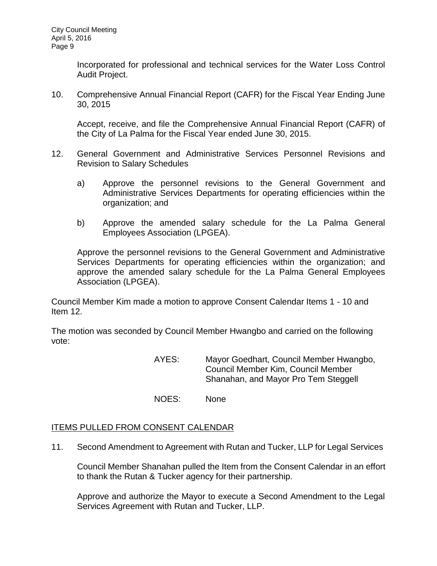Incorporated for professional and technical services for the Water Loss Control Audit Project.

10. Comprehensive Annual Financial Report (CAFR) for the Fiscal Year Ending June 30, 2015

Accept, receive, and file the Comprehensive Annual Financial Report (CAFR) of the City of La Palma for the Fiscal Year ended June 30, 2015.

- 12. General Government and Administrative Services Personnel Revisions and Revision to Salary Schedules
	- a) Approve the personnel revisions to the General Government and Administrative Services Departments for operating efficiencies within the organization; and
	- b) Approve the amended salary schedule for the La Palma General Employees Association (LPGEA).

Approve the personnel revisions to the General Government and Administrative Services Departments for operating efficiencies within the organization; and approve the amended salary schedule for the La Palma General Employees Association (LPGEA).

Council Member Kim made a motion to approve Consent Calendar Items 1 - 10 and Item 12.

The motion was seconded by Council Member Hwangbo and carried on the following vote:

> AYES: Mayor Goedhart, Council Member Hwangbo, Council Member Kim, Council Member Shanahan, and Mayor Pro Tem Steggell

NOES: None

## ITEMS PULLED FROM CONSENT CALENDAR

11. [Second Amendment to Agreement with Rutan and Tucker, LLP for Legal Services](http://lapalma.granicus.com/MediaPlayer.php?view_id=&clip_id=984&meta_id=131249)

Council Member Shanahan pulled the Item from the Consent Calendar in an effort to thank the Rutan & Tucker agency for their partnership.

Approve and authorize the Mayor to execute a Second Amendment to the Legal Services Agreement with Rutan and Tucker, LLP.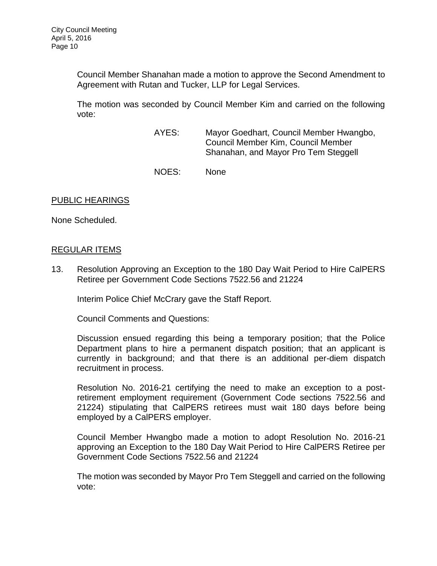Council Member Shanahan made a motion to approve the Second Amendment to Agreement with Rutan and Tucker, LLP for Legal Services.

The motion was seconded by Council Member Kim and carried on the following vote:

- AYES: Mayor Goedhart, Council Member Hwangbo, Council Member Kim, Council Member Shanahan, and Mayor Pro Tem Steggell
- NOES: None

### PUBLIC HEARINGS

None Scheduled.

### [REGULAR ITEMS](http://lapalma.granicus.com/MediaPlayer.php?view_id=&clip_id=984&meta_id=131256)

13. [Resolution Approving an Exception to the 180 Day Wait Period to Hire CalPERS](http://lapalma.granicus.com/MediaPlayer.php?view_id=&clip_id=984&meta_id=131257)  [Retiree per Government Code Sections 7522.56 and 21224](http://lapalma.granicus.com/MediaPlayer.php?view_id=&clip_id=984&meta_id=131257)

Interim Police Chief McCrary gave the Staff Report.

Council Comments and Questions:

Discussion ensued regarding this being a temporary position; that the Police Department plans to hire a permanent dispatch position; that an applicant is currently in background; and that there is an additional per-diem dispatch recruitment in process.

Resolution No. 2016-21 certifying the need to make an exception to a postretirement employment requirement (Government Code sections 7522.56 and 21224) stipulating that CalPERS retirees must wait 180 days before being employed by a CalPERS employer.

Council Member Hwangbo made a motion to adopt Resolution No. 2016-21 approving an Exception to the 180 Day Wait Period to Hire CalPERS Retiree per Government Code Sections 7522.56 and 21224

The motion was seconded by Mayor Pro Tem Steggell and carried on the following vote: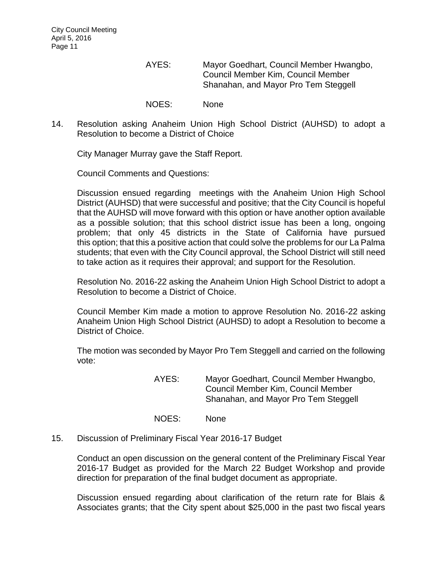AYES: Mayor Goedhart, Council Member Hwangbo, Council Member Kim, Council Member Shanahan, and Mayor Pro Tem Steggell

NOES: None

14. [Resolution asking Anaheim Union High School District \(AUHSD\) to adopt a](http://lapalma.granicus.com/MediaPlayer.php?view_id=&clip_id=984&meta_id=131260)  [Resolution to become a District of Choice](http://lapalma.granicus.com/MediaPlayer.php?view_id=&clip_id=984&meta_id=131260)

City Manager Murray gave the Staff Report.

Council Comments and Questions:

Discussion ensued regarding meetings with the Anaheim Union High School District (AUHSD) that were successful and positive; that the City Council is hopeful that the AUHSD will move forward with this option or have another option available as a possible solution; that this school district issue has been a long, ongoing problem; that only 45 districts in the State of California have pursued this option; that this a positive action that could solve the problems for our La Palma students; that even with the City Council approval, the School District will still need to take action as it requires their approval; and support for the Resolution.

Resolution No. 2016-22 asking the Anaheim Union High School District to adopt a Resolution to become a District of Choice.

Council Member Kim made a motion to approve Resolution No. 2016-22 asking Anaheim Union High School District (AUHSD) to adopt a Resolution to become a District of Choice.

The motion was seconded by Mayor Pro Tem Steggell and carried on the following vote:

> AYES: Mayor Goedhart, Council Member Hwangbo, Council Member Kim, Council Member Shanahan, and Mayor Pro Tem Steggell

- NOES: None
- 15. [Discussion of Preliminary Fiscal Year 2016-17 Budget](http://lapalma.granicus.com/MediaPlayer.php?view_id=&clip_id=984&meta_id=131263)

Conduct an open discussion on the general content of the Preliminary Fiscal Year 2016-17 Budget as provided for the March 22 Budget Workshop and provide direction for preparation of the final budget document as appropriate.

Discussion ensued regarding about clarification of the return rate for Blais & Associates grants; that the City spent about \$25,000 in the past two fiscal years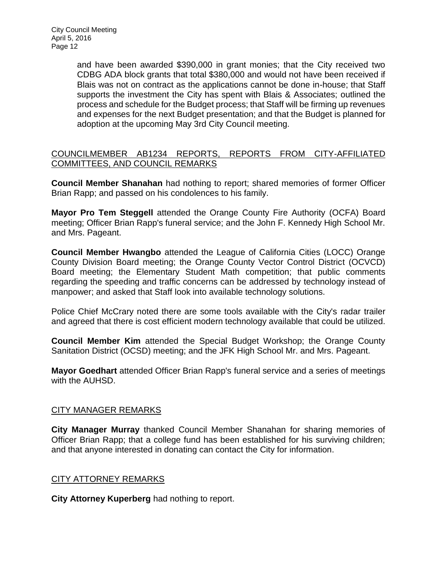and have been awarded \$390,000 in grant monies; that the City received two CDBG ADA block grants that total \$380,000 and would not have been received if Blais was not on contract as the applications cannot be done in-house; that Staff supports the investment the City has spent with Blais & Associates; outlined the process and schedule for the Budget process; that Staff will be firming up revenues and expenses for the next Budget presentation; and that the Budget is planned for adoption at the upcoming May 3rd City Council meeting.

# [COUNCILMEMBER AB1234 REPORTS, REPORTS FROM CITY-AFFILIATED](http://lapalma.granicus.com/MediaPlayer.php?view_id=&clip_id=984&meta_id=131269)  [COMMITTEES, AND COUNCIL REMARKS](http://lapalma.granicus.com/MediaPlayer.php?view_id=&clip_id=984&meta_id=131269)

**Council Member Shanahan** had nothing to report; shared memories of former Officer Brian Rapp; and passed on his condolences to his family.

**Mayor Pro Tem Steggell** attended the Orange County Fire Authority (OCFA) Board meeting; Officer Brian Rapp's funeral service; and the John F. Kennedy High School Mr. and Mrs. Pageant.

**Council Member Hwangbo** attended the League of California Cities (LOCC) Orange County Division Board meeting; the Orange County Vector Control District (OCVCD) Board meeting; the Elementary Student Math competition; that public comments regarding the speeding and traffic concerns can be addressed by technology instead of manpower; and asked that Staff look into available technology solutions.

Police Chief McCrary noted there are some tools available with the City's radar trailer and agreed that there is cost efficient modern technology available that could be utilized.

**Council Member Kim** attended the Special Budget Workshop; the Orange County Sanitation District (OCSD) meeting; and the JFK High School Mr. and Mrs. Pageant.

**Mayor Goedhart** attended Officer Brian Rapp's funeral service and a series of meetings with the AUHSD.

## [CITY MANAGER REMARKS](http://lapalma.granicus.com/MediaPlayer.php?view_id=&clip_id=984&meta_id=131276)

**City Manager Murray** thanked Council Member Shanahan for sharing memories of Officer Brian Rapp; that a college fund has been established for his surviving children; and that anyone interested in donating can contact the City for information.

## [CITY ATTORNEY REMARKS](http://lapalma.granicus.com/MediaPlayer.php?view_id=&clip_id=984&meta_id=131278)

**City Attorney Kuperberg** had nothing to report.